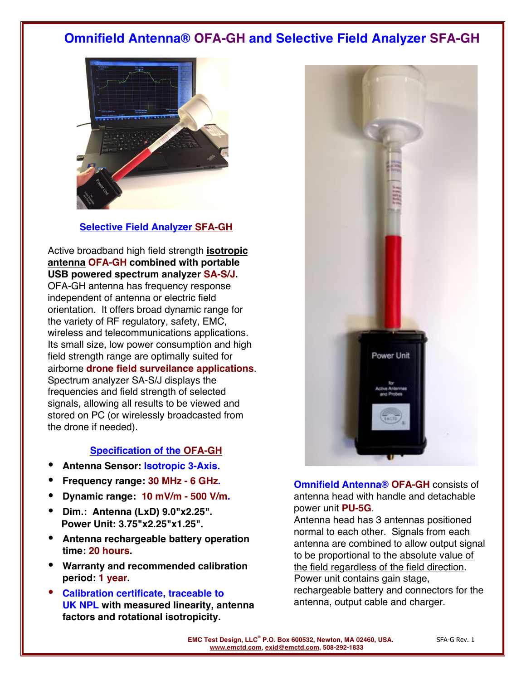## **Omnifield Antenna® OFA-GH and Selective Field Analyzer SFA-GH**



#### **Selective Field Analyzer SFA-GH**

Active broadband high field strength **isotropic antenna OFA-GH combined with portable USB powered spectrum analyzer SA-S/J.** OFA-GH antenna has frequency response independent of antenna or electric field orientation. It offers broad dynamic range for

the variety of RF regulatory, safety, EMC, wireless and telecommunications applications. Its small size, low power consumption and high field strength range are optimally suited for airborne **drone field surveilance applications**. Spectrum analyzer SA-S/J displays the frequencies and field strength of selected signals, allowing all results to be viewed and stored on PC (or wirelessly broadcasted from the drone if needed).

### **Specification of the OFA-GH**

- **Antenna Sensor: Isotropic 3-Axis.**
- **Frequency range: 30 MHz - 6 GHz.**
- **Dynamic range: 10 mV/m - 500 V/m.**
- **Dim.: Antenna (LxD) 9.0"x2.25". Power Unit: 3.75"x2.25"x1.25".**
- **Antenna rechargeable battery operation time: 20 hours.**
- **Warranty and recommended calibration period: 1 year.**
- **Calibration certificate, traceable to UK NPL with measured linearity, antenna factors and rotational isotropicity.**

**Omnifield Antenna® OFA-GH** consists of antenna head with handle and detachable power unit **PU-5G**.

Power Unit

Antenna head has 3 antennas positioned normal to each other. Signals from each antenna are combined to allow output signal to be proportional to the absolute value of the field regardless of the field direction. Power unit contains gain stage, rechargeable battery and connectors for the antenna, output cable and charger.

**EMC Test Design, LLC<sup>®</sup> P.O. Box 600532, Newton, MA 02460, USA.** SFA-G Rev. 1 **www.emctd.com, exid@emctd.com, 508-292-1833**